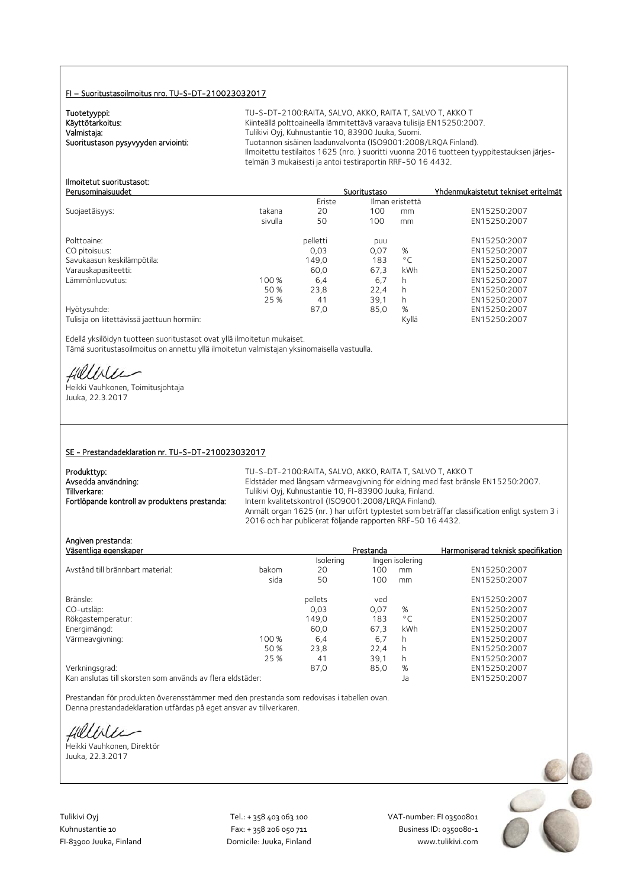#### FI – Suoritustasoilmoitus nro. TU-S-DT-210023032017

Tuotetyyppi:<br>Käyttötarkoitus:

TU-S-DT-2100:RAITA, SALVO, AKKO, RAITA T, SALVO T, AKKO T Kiinteällä polttoaineella lämmitettävä varaava tulisija EN15250:2007. Valmistaja: Valmistaja: Tulikivi Oyj, Kuhnustantie 10, 83900 Juuka, Suomi.<br>2008–1008 Tuotannon sisäinen laadunvalvonta (ISO9001:2008) Tuotannon sisäinen laadunvalvonta (ISO9001:2008/LRQA Finland). Ilmoitettu testilaitos 1625 (nro. ) suoritti vuonna 2016 tuotteen tyyppitestauksen järjestelmän 3 mukaisesti ja antoi testiraportin RRF-50 16 4432.

#### Ilmoitetut suoritustasot: Perusominaisuudet Suoritustaso Yhdenmukaistetut tekniset eritelmät

|                                             |         | Eriste   |      | Ilman eristettä |              |
|---------------------------------------------|---------|----------|------|-----------------|--------------|
| Suojaetäisyys:                              | takana  | 20       | 100  | mm              | EN15250:2007 |
|                                             | sivulla | 50       | 100  | mm              | EN15250:2007 |
| Polttoaine:                                 |         | pelletti | puu  |                 | EN15250:2007 |
| CO pitoisuus:                               |         | 0,03     | 0,07 | %               | EN15250:2007 |
| Savukaasun keskilämpötila:                  |         | 149,0    | 183  | $^{\circ}$ C    | EN15250:2007 |
| Varauskapasiteetti:                         |         | 60.0     | 67.3 | kWh             | EN15250:2007 |
| Lämmönluovutus:                             | 100 %   | 6,4      | 6,7  | h               | EN15250:2007 |
|                                             | 50 %    | 23,8     | 22.4 | h               | EN15250:2007 |
|                                             | 25 %    | 41       | 39.1 | h               | EN15250:2007 |
| Hyötysuhde:                                 |         | 87,0     | 85,0 | %               | EN15250:2007 |
| Tulisija on liitettävissä jaettuun hormiin: |         |          |      | Kyllä           | EN15250:2007 |

Edellä yksilöidyn tuotteen suoritustasot ovat yllä ilmoitetun mukaiset. Tämä suoritustasoilmoitus on annettu yllä ilmoitetun valmistajan yksinomaisella vastuulla.

fillblu

Heikki Vauhkonen, Toimitusjohtaja Juuka, 22.3.2017

#### SE - Prestandadeklaration nr. TU-S-DT-210023032017

| Produkttyp:                                   | TU-S-DT-2100:RAITA, SALVO, AKKO, RAITA T, SALVO T, AKKO T                                   |
|-----------------------------------------------|---------------------------------------------------------------------------------------------|
| Avsedda användning:                           | Eldstäder med långsam värmeavgivning för eldning med fast bränsle EN15250:2007.             |
| Tillverkare:                                  | Tulikivi Oyj, Kuhnustantie 10, FI-83900 Juuka, Finland.                                     |
| Fortlöpande kontroll av produktens prestanda: | Intern kvalitetskontroll (ISO9001:2008/LRQA Finland).                                       |
|                                               | Anmält organ 1625 (nr.) har utfört typtestet som beträffar classification enligt system 3 i |
|                                               | 2016 och har publicerat följande rapporten RRF-50 16 4432.                                  |

Angiven prestanda:<br>Väsentliga egenskaper **Prestanda** Harmoniserad teknisk specifikation<br>Isolering Ingen isolering Ingen isolering Avstånd till brännbart material: bakom 20 100 mm EN15250:2007 sida 50 100 mm EN15250:2007 Bränsle: pellets ved EN15250:2007 CO-utsläp: 0,03 0,07 % EN15250:2007 Rökgastemperatur: 149,0 183 °C<br>
Energimängd: 160,0 67,3 kWh Energimängd: 60,0 67,3 kWh EN15250:2007 Värmeavgivning: 100 % 6,4 6,7<br>50 % 50 % 50 % 6,2<br>22,4 h EN15250:2007 22,4 50 % 23,8 22,4 h EN15250:2007 25 % 41 39,1 h EN15250:2007 Verkningsgrad: 87,0 85,0 % EN15250:2007

Kan anslutas till skorsten som används av flera eldstäder: Ja EN15250:2007

Prestandan för produkten överensstämmer med den prestanda som redovisas i tabellen ovan. Denna prestandadeklaration utfärdas på eget ansvar av tillverkaren.

fillise

Heikki Vauhkonen, Direktör Juuka, 22.3.2017

Tulikivi Oyj Tel.: + 358 403 063 100 VAT‐number: FI 03500801

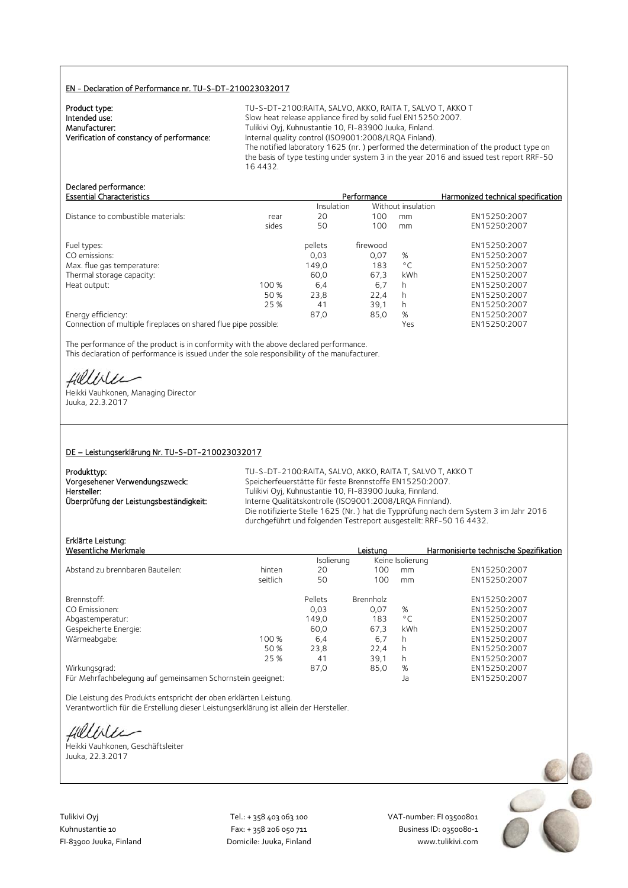#### EN - Declaration of Performance nr. TU-S-DT-210023032017

| Product type:                             |  |
|-------------------------------------------|--|
| Intended use:                             |  |
| Manufacturer:                             |  |
| Verification of constancy of performance: |  |
|                                           |  |

TU-S-DT-2100:RAITA, SALVO, AKKO, RAITA T, SALVO T, AKKO T Slow heat release appliance fired by solid fuel EN15250:2007. Tulikivi Oyj, Kuhnustantie 10, FI-83900 Juuka, Finland. Verification of constancy of performance: Internal quality control (ISO9001:2008/LRQA Finland). The notified laboratory 1625 (nr. ) performed the determination of the product type on the basis of type testing under system 3 in the year 2016 and issued test report RRF-50 16 4432.

## Declared performance:<br>Essential Characteristics

| <b>Essential Characteristics</b>   |       |            | Performance |                    | Harmonized technical specification |
|------------------------------------|-------|------------|-------------|--------------------|------------------------------------|
|                                    |       | Insulation |             | Without insulation |                                    |
| Distance to combustible materials: | rear  | 20         | 100         | mm                 | EN15250:2007                       |
|                                    | sides | 50         | 100         | mm                 | EN15250:2007                       |
| Fuel types:                        |       | pellets    | firewood    |                    | EN15250:2007                       |
| CO emissions:                      |       | 0,03       | 0.07        | %                  | EN15250:2007                       |
| Max. flue gas temperature:         |       | 149,0      | 183         | $^{\circ}$ C       | EN15250:2007                       |
| Thermal storage capacity:          |       | 60.0       | 67.3        | <b>kWh</b>         | EN15250:2007                       |
| Heat output:                       | 100 % | 6,4        | 6.7         | h                  | EN15250:2007                       |
|                                    | 50 %  | 23,8       | 22,4        |                    | EN15250:2007                       |
|                                    | 25 %  | 41         | 39,1        | h                  | EN15250:2007                       |
| Energy efficiency:                 |       | 87.0       | 85,0        | %                  | EN15250:2007                       |
|                                    |       |            |             |                    |                                    |

Connection of multiple fireplaces on shared flue pipe possible: Yes EN15250:2007

The performance of the product is in conformity with the above declared performance. This declaration of performance is issued under the sole responsibility of the manufacturer.

Hilliler

Heikki Vauhkonen, Managing Director Juuka, 22.3.2017

#### DE – Leistungserklärung Nr. TU-S-DT-210023032017

| Produkttyp:                             |  |
|-----------------------------------------|--|
| Vorgesehener Verwendungszweck:          |  |
| Hersteller:                             |  |
| Überprüfung der Leistungsbeständigkeit: |  |

TU-S-DT-2100:RAITA, SALVO, AKKO, RAITA T, SALVO T, AKKO T Speicherfeuerstätte für feste Brennstoffe EN15250:2007. Tulikivi Oyj, Kuhnustantie 10, FI-83900 Juuka, Finnland. Interne Qualitätskontrolle (ISO9001:2008/LRQA Finnland). Die notifizierte Stelle 1625 (Nr. ) hat die Typprüfung nach dem System 3 im Jahr 2016 durchgeführt und folgenden Testreport ausgestellt: RRF-50 16 4432.

## Erklärte Leistung:

| Erklärte Leistung:                                         |          |            |                  |                  |                                        |
|------------------------------------------------------------|----------|------------|------------------|------------------|----------------------------------------|
| Wesentliche Merkmale                                       |          |            | Leistuna         |                  | Harmonisierte technische Spezifikation |
|                                                            |          | Isolierung |                  | Keine Isolierung |                                        |
| Abstand zu brennbaren Bauteilen:                           | hinten   | 20         | 100              | mm               | EN15250:2007                           |
|                                                            | seitlich | 50         | 100              | mm               | EN15250:2007                           |
| Brennstoff:                                                |          | Pellets    | <b>Brennholz</b> |                  | EN15250:2007                           |
| CO Emissionen:                                             |          | 0.03       | 0.07             | %                | EN15250:2007                           |
| Abgastemperatur:                                           |          | 149,0      | 183              | $^{\circ}$ C     | EN15250:2007                           |
| Gespeicherte Energie:                                      |          | 60.0       | 67.3             | kWh              | EN15250:2007                           |
| Wärmeabgabe:                                               | 100 %    | 6,4        | 6,7              | h.               | EN15250:2007                           |
|                                                            | 50 %     | 23,8       | 22.4             | h.               | EN15250:2007                           |
|                                                            | 25 %     | 41         | 39.1             | h.               | EN15250:2007                           |
| Wirkungsgrad:                                              |          | 87.0       | 85,0             | %                | EN15250:2007                           |
| Für Mehrfachbelegung auf gemeinsamen Schornstein geeignet: |          |            |                  | Ja               | EN15250:2007                           |

Die Leistung des Produkts entspricht der oben erklärten Leistung. Verantwortlich für die Erstellung dieser Leistungserklärung ist allein der Hersteller.

fillbile

Heikki Vauhkonen, Geschäftsleiter Juuka, 22.3.2017



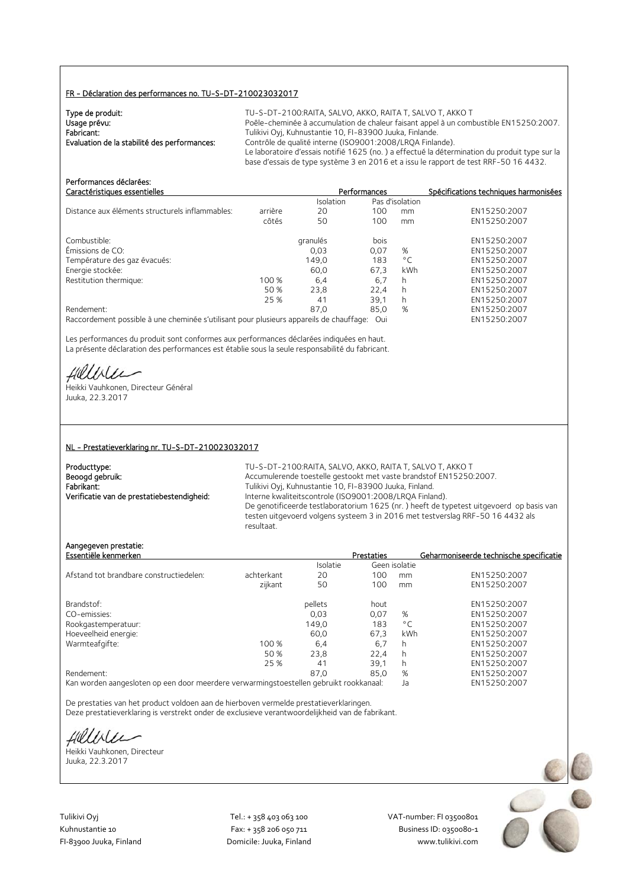#### FR - Déclaration des performances no. TU-S-DT-210023032017

| Type de produit:                             | TU-S-DT-2100:RAITA, SALVO, AKKO, RAITA T, SALVO T, AKKO T                                     |
|----------------------------------------------|-----------------------------------------------------------------------------------------------|
| Usage prévu:                                 | Poêle-cheminée à accumulation de chaleur faisant appel à un combustible EN15250:2007.         |
| Fabricant:                                   | Tulikivi Oyj, Kuhnustantie 10, FI-83900 Juuka, Finlande.                                      |
| Evaluation de la stabilité des performances: | Contrôle de qualité interne (ISO9001:2008/LROA Finlande).                                     |
|                                              | Le laboratoire d'essais notifié 1625 (no.) a effectué la détermination du produit type sur la |
|                                              | base d'essais de type système 3 en 2016 et a issu le rapport de test RRF-50 16 4432.          |

| Performances déclarées:<br>Caractéristiques essentielles                                |         |           | Performances |                 | Spécifications techniques harmonisées |
|-----------------------------------------------------------------------------------------|---------|-----------|--------------|-----------------|---------------------------------------|
|                                                                                         |         | Isolation |              | Pas d'isolation |                                       |
| Distance aux éléments structurels inflammables:                                         | arrière | 20        | 100          | mm              | EN15250:2007                          |
|                                                                                         | côtés   | 50        | 100          | mm              | EN15250:2007                          |
| Combustible:                                                                            |         | granulés  | bois         |                 | EN15250:2007                          |
| Émissions de CO:                                                                        |         | 0,03      | 0,07         | %               | EN15250:2007                          |
| Température des gaz évacués:                                                            |         | 149.0     | 183          | $^{\circ}$ C    | EN15250:2007                          |
| Energie stockée:                                                                        |         | 60.0      | 67.3         | kWh             | EN15250:2007                          |
| Restitution thermique:                                                                  | 100 %   | 6.4       | 6,7          | h               | EN15250:2007                          |
|                                                                                         | 50 %    | 23.8      | 22.4         | h               | EN15250:2007                          |
|                                                                                         | 25 %    | 41        | 39.1         | h               | EN15250:2007                          |
| Rendement:                                                                              |         | 87.0      | 85,0         | %               | EN15250:2007                          |
| Raccordement possible à une cheminée s'utilisant pour plusieurs appareils de chauffage: |         |           | Oui          |                 | EN15250:2007                          |

Les performances du produit sont conformes aux performances déclarées indiquées en haut. La présente déclaration des performances est établie sous la seule responsabilité du fabricant.

Hillble

Heikki Vauhkonen, Directeur Général Juuka, 22.3.2017

#### NL - Prestatieverklaring nr. TU-S-DT-210023032017

| Producttype:                               |
|--------------------------------------------|
| Beoogd gebruik:                            |
| Fabrikant:                                 |
| Verificatie van de prestatiebestendigheid: |

TU-S-DT-2100:RAITA, SALVO, AKKO, RAITA T, SALVO T, AKKO T Accumulerende toestelle gestookt met vaste brandstof EN15250:2007. Fabrikant: Tulikivi Oyj, Kuhnustantie 10, FI-83900 Juuka, Finland. Interne kwaliteitscontrole (ISO9001:2008/LRQA Finland). De genotificeerde testlaboratorium 1625 (nr. ) heeft de typetest uitgevoerd op basis van testen uitgevoerd volgens systeem 3 in 2016 met testverslag RRF-50 16 4432 als resultaat.

#### Aangegeven prestatie:

| Essentiële kenmerken                    |            |                 | <b>Prestaties</b> |               | Geharmoniseerde technische specificatie |
|-----------------------------------------|------------|-----------------|-------------------|---------------|-----------------------------------------|
|                                         |            | <b>Isolatie</b> |                   | Geen isolatie |                                         |
| Afstand tot brandbare constructiedelen: | achterkant | 20              | 100               | mm            | EN15250:2007                            |
|                                         | zijkant    | 50              | 100               | mm            | EN15250:2007                            |
| Brandstof:                              |            | pellets         | hout              |               | EN15250:2007                            |
| CO-emissies:                            |            | 0.03            | 0.07              | %             | EN15250:2007                            |
| Rookgastemperatuur:                     |            | 149,0           | 183               | $^{\circ}$ C  | EN15250:2007                            |
| Hoeveelheid energie:                    |            | 60.0            | 67.3              | kWh           | EN15250:2007                            |
| Warmteafgifte:                          | 100 %      | 6,4             | 6.7               | h             | EN15250:2007                            |
|                                         | 50 %       | 23.8            | 22.4              | h             | EN15250:2007                            |
|                                         | 25 %       | 41              | 39,1              | h             | EN15250:2007                            |
| Rendement:                              |            | 87.0            | 85.0              | %             | EN15250:2007                            |
|                                         |            |                 |                   |               |                                         |

Kan worden aangesloten op een door meerdere verwarmingstoestellen gebruikt rookkanaal: Ja EN15250:2007

De prestaties van het product voldoen aan de hierboven vermelde prestatieverklaringen. Deze prestatieverklaring is verstrekt onder de exclusieve verantwoordelijkheid van de fabrikant.

Hillble

Heikki Vauhkonen, Directeur Juuka, 22.3.2017

Tulikivi Oyj Tel.: + 358 403 063 100 VAT‐number: FI 03500801

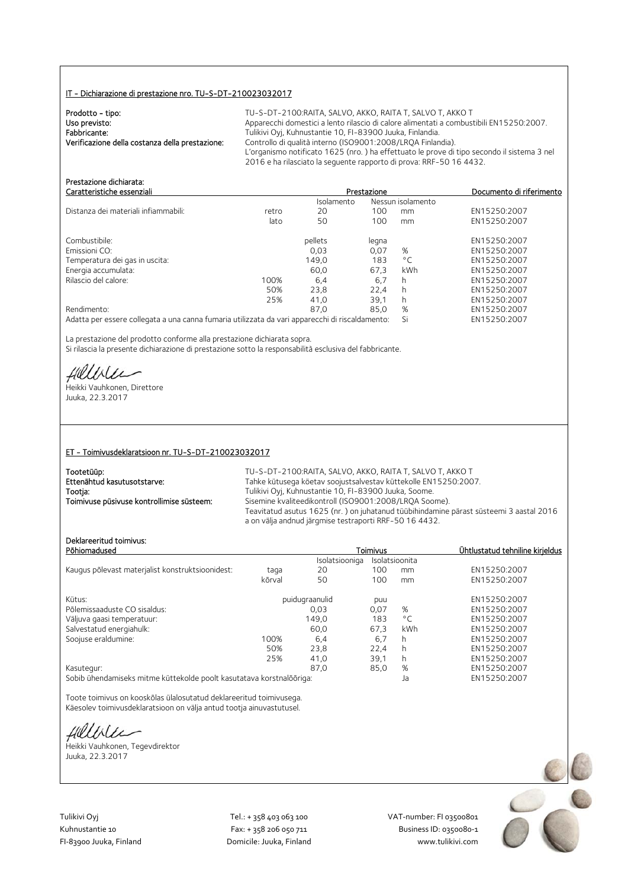#### IT - Dichiarazione di prestazione nro. TU-S-DT-210023032017

| Prodotto - tipo:                                | TU-S-DT-2100:RAITA, SALVO, AKKO, F         |
|-------------------------------------------------|--------------------------------------------|
| Uso previsto:                                   | Apparecchi domestici a lento rilascio di o |
| Fabbricante:                                    | Tulikivi Oyi, Kuhnustantie 10, FI-83900    |
| Verificazione della costanza della prestazione: | Controllo di qualità interno (ISO9001:20   |
|                                                 | L'organismo notificato 1625 (nro.) ha e    |
|                                                 |                                            |

**RAITA T. SALVO T. AKKO T** calore alimentati a combustibili EN15250:2007. Juuka, Finlandia. 008/LRQA Finlandia). effettuato le prove di tipo secondo il sistema 3 nel 2016 e ha rilasciato la seguente rapporto di prova: RRF-50 16 4432.

| Prestazione dichiarata:                                                                         |       |            |             |                   |                          |
|-------------------------------------------------------------------------------------------------|-------|------------|-------------|-------------------|--------------------------|
| Caratteristiche essenziali                                                                      |       |            | Prestazione |                   | Documento di riferimento |
|                                                                                                 |       | Isolamento |             | Nessun isolamento |                          |
| Distanza dei materiali infiammabili:                                                            | retro | 20         | 100         | mm                | EN15250:2007             |
|                                                                                                 | lato  | 50         | 100         | mm                | EN15250:2007             |
| Combustibile:                                                                                   |       | pellets    | legna       |                   | EN15250:2007             |
| Emissioni CO:                                                                                   |       | 0.03       | 0.07        | %                 | EN15250:2007             |
| Temperatura dei gas in uscita:                                                                  |       | 149.0      | 183         | $^{\circ}$ C      | EN15250:2007             |
| Energia accumulata:                                                                             |       | 60.0       | 67.3        | kWh               | EN15250:2007             |
| Rilascio del calore:                                                                            | 100%  | 6,4        | 6,7         | h.                | EN15250:2007             |
|                                                                                                 | 50%   | 23.8       | 22.4        | h.                | EN15250:2007             |
|                                                                                                 | 25%   | 41.0       | 39.1        | h.                | EN15250:2007             |
| Rendimento:                                                                                     |       | 87.0       | 85.0        | %                 | EN15250:2007             |
| Adatta per essere collegata a una canna fumaria utilizzata da vari apparecchi di riscaldamento: |       |            |             | Si                | EN15250:2007             |
|                                                                                                 |       |            |             |                   |                          |

La prestazione del prodotto conforme alla prestazione dichiarata sopra. Si rilascia la presente dichiarazione di prestazione sotto la responsabilità esclusiva del fabbricante.

Hillble

Heikki Vauhkonen, Direttore Juuka, 22.3.2017

#### ET - Toimivusdeklaratsioon nr. TU-S-DT-210023032017

| Tootetüüp:                                | TU-S-DT-2100:RAITA, SALVO, AKKO, RAITA T, SALVO T, AKKO T                                                                                        |
|-------------------------------------------|--------------------------------------------------------------------------------------------------------------------------------------------------|
| Ettenähtud kasutusotstarve:               | Tahke kütusega köetav soojustsalvestav küttekolle EN15250:2007.                                                                                  |
| Tootja:                                   | Tulikivi Oyi, Kuhnustantie 10, FI-83900 Juuka, Soome.                                                                                            |
| Toimivuse püsivuse kontrollimise süsteem: | Sisemine kvaliteedikontroll (ISO9001:2008/LROA Soome).                                                                                           |
|                                           | Teavitatud asutus 1625 (nr.) on juhatanud tüübihindamine pärast süsteemi 3 aastal 2016<br>a on välja andnud järgmise testraporti RRF-50 16 4432. |

### Deklareeritud toimivus:

| Deklareeritud toimivus:<br>Põhiomadused                              |        |                | Toimivus |                | Ühtlustatud tehniline kirjeldus |
|----------------------------------------------------------------------|--------|----------------|----------|----------------|---------------------------------|
|                                                                      |        | Isolatsiooniga |          | Isolatsioonita |                                 |
| Kaugus põlevast materjalist konstruktsioonidest:                     | taga   | 20             | 100      | mm             | EN15250:2007                    |
|                                                                      | kõrval | 50             | 100      | mm             | EN15250:2007                    |
| Kütus:                                                               |        | puidugraanulid | puu      |                | EN15250:2007                    |
| Põlemissaaduste CO sisaldus:                                         |        | 0.03           | 0,07     | %              | EN15250:2007                    |
| Väljuva gaasi temperatuur:                                           |        | 149,0          | 183      | $^{\circ}$ C   | EN15250:2007                    |
| Salvestatud energiahulk:                                             |        | 60.0           | 67.3     | kWh            | EN15250:2007                    |
| Soojuse eraldumine:                                                  | 100%   | 6,4            | 6,7      | h              | EN15250:2007                    |
|                                                                      | 50%    | 23,8           | 22.4     | h              | EN15250:2007                    |
|                                                                      | 25%    | 41,0           | 39,1     | h              | EN15250:2007                    |
| Kasutegur:                                                           |        | 87.0           | 85,0     | %              | EN15250:2007                    |
| Sobib ühendamiseks mitme küttekolde poolt kasutatava korstnalõõriga: |        |                |          | Ja             | EN15250:2007                    |

Toote toimivus on kooskõlas ülalosutatud deklareeritud toimivusega. Käesolev toimivusdeklaratsioon on välja antud tootja ainuvastutusel.

fillise

Heikki Vauhkonen, Tegevdirektor Juuka, 22.3.2017

Tulikivi Oyj Tel.: + 358 403 063 100 VAT‐number: FI 03500801

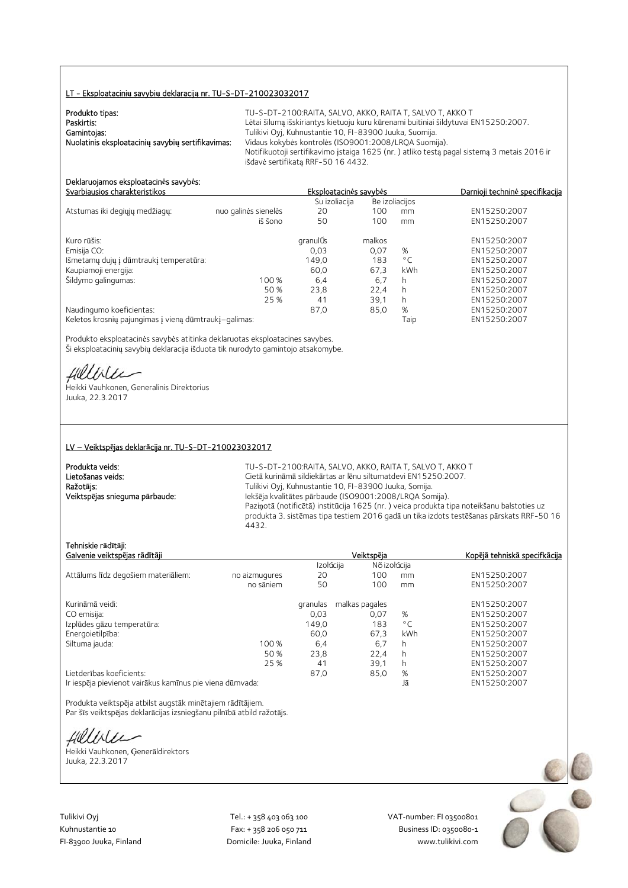#### LT - Eksploatacini**ų** savybi**ų** deklaracij**ą** nr. TU-S-DT-210023032017

| Produkto tipas:                                   | TU-S-DT-2100:RAITA. SALVO. AKKO. RAITA T. SALVO T. AKKO T                                  |
|---------------------------------------------------|--------------------------------------------------------------------------------------------|
| Paskirtis:                                        | Lėtai šilumą išskiriantys kietuoju kuru kūrenami buitiniai šildytuvai EN15250:2007.        |
| Gamintojas:                                       | Tulikivi Oyj, Kuhnustantie 10, FI-83900 Juuka, Suomija.                                    |
| Nuolatinis eksploatacinių savybių sertifikavimas: | Vidaus kokybės kontrolės (ISO9001:2008/LROA Suomija).                                      |
|                                                   | Notifikuotoji sertifikavimo įstaiga 1625 (nr.) atliko testą pagal sistemą 3 metais 2016 ir |
|                                                   | išdavė sertifikata RRF-50 16 4432.                                                         |

#### Deklaruojamos eksploatacin**ė**s savyb**ė**s: Svarbiausios charakteristikos Eksploatacin**ė**s savyb**ė**s Darnioji technin**ė** specifikacija

|                                                       |                      | Su izoliacija |        | Be izoliacijos |              |
|-------------------------------------------------------|----------------------|---------------|--------|----------------|--------------|
| Atstumas iki degiųjų medžiagų:                        | nuo galinės sienelės | 20            | 100    | mm             | EN15250:2007 |
|                                                       | iš šono              | 50            | 100    | mm             | EN15250:2007 |
| Kuro rūšis:                                           |                      | granulÚs      | malkos |                | EN15250:2007 |
| Emisija CO:                                           |                      | 0,03          | 0,07   | %              | EN15250:2007 |
| Išmetamų dujų į dūmtraukį temperatūra:                |                      | 149,0         | 183    | $^{\circ}$ C   | EN15250:2007 |
| Kaupiamoji energija:                                  |                      | 60,0          | 67,3   | <b>kWh</b>     | EN15250:2007 |
| Šildymo galingumas:                                   | 100 %                | 6,4           | 6,7    | h              | EN15250:2007 |
|                                                       | 50 %                 | 23.8          | 22.4   | h              | EN15250:2007 |
|                                                       | 25 %                 | 41            | 39.1   | h              | EN15250:2007 |
| Naudingumo koeficientas:                              |                      | 87,0          | 85,0   | %              | EN15250:2007 |
| Keletos krosnių pajungimas į vieną dūmtraukį-galimas: |                      |               |        | Taip           | EN15250:2007 |

Produkto eksploatacinės savybės atitinka deklaruotas eksploatacines savybes. Ši eksploatacinių savybių deklaracija išduota tik nurodyto gamintojo atsakomybe.

fillblu

Heikki Vauhkonen, Generalinis Direktorius Juuka, 22.3.2017

#### LV – Veiktsp**ē**jas deklar**ā**cija nr. TU-S-DT-210023032017

| Produkta veids:                | $TU-S$             |
|--------------------------------|--------------------|
| Lietošanas veids:              | Cietā              |
| Ražotājs:                      | Tuliki             |
| Veiktspējas snieguma pārbaude: | lekšē              |
|                                | $D_{\text{right}}$ |

i-DT-2100:RAITA, SALVO, AKKO, RAITA T, SALVO T, AKKO T i kurināmā sildiekārtas ar lēnu siltumatdevi EN15250:2007. ivi Oyj, Kuhnustantie 10, FI-83900 Juuka, Somija. Veiktsp**ē**jas snieguma p**ā**rbaude: Iekšēja kvalitātes pārbaude (ISO9001:2008/LRQA Somija). Paziņotā (notificētā) institūcija 1625 (nr. ) veica produkta tipa noteikšanu balstoties uz produkta 3. sistēmas tipa testiem 2016 gadā un tika izdots testēšanas pārskats RRF-50 16 4432.

#### Tehniskie r**ā**d**ī**t**ā**ji:

| Galvenie veiktspējas rādītāji                            |               | Veiktspēja | Kopējā tehniskā specifkācija |     |              |
|----------------------------------------------------------|---------------|------------|------------------------------|-----|--------------|
|                                                          |               |            | Izolúcija<br>Nõ izolúcija    |     |              |
| Attālums līdz degošiem materiāliem:                      | no aizmugures | 20         | 100                          | mm  | EN15250:2007 |
|                                                          | no sāniem     | 50         | 100                          | mm  | EN15250:2007 |
| Kurināmā veidi:                                          |               | granulas   | malkas pagales               |     | EN15250:2007 |
| CO emisija:                                              |               | 0.03       | 0.07                         | %   | EN15250:2007 |
| Izplūdes gāzu temperatūra:                               |               | 149.0      | 183                          | °C  | EN15250:2007 |
| Energoietilpība:                                         |               | 60.0       | 67,3                         | kWh | EN15250:2007 |
| Siltuma jauda:                                           | 100 %         | 6,4        | 6,7                          | h   | EN15250:2007 |
|                                                          | 50 %          | 23.8       | 22.4                         | h   | EN15250:2007 |
|                                                          | 25 %          | 41         | 39,1                         | h   | EN15250:2007 |
| Lietderības koeficients:                                 |               | 87,0       | 85,0                         | %   | EN15250:2007 |
| Ir iespēja pievienot vairākus kamīnus pie viena dūmvada: |               |            |                              | Jā  | EN15250:2007 |

Produkta veiktspēja atbilst augstāk minētajiem rādītājiem. Par šīs veiktspējas deklarācijas izsniegšanu pilnībā atbild ražotājs.

Hillble

Heikki Vauhkonen, Ģenerāldirektors Juuka, 22.3.2017

Tulikivi Oyj Tel.: + 358 403 063 100 VAT‐number: FI 03500801

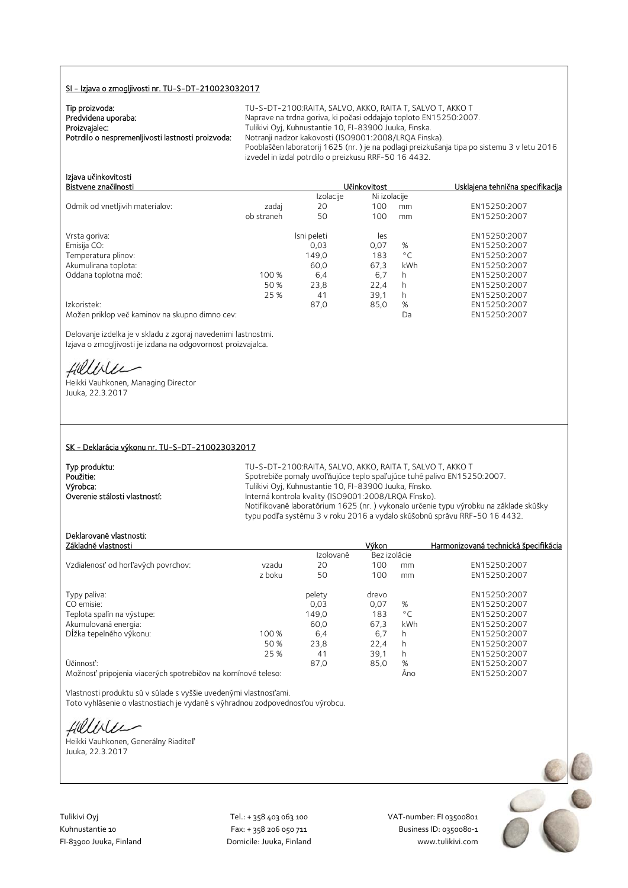#### SI - Izjava o zmogljivosti nr. TU-S-DT-210023032017

| Tip proizvoda:                                    |  |
|---------------------------------------------------|--|
| Predvidena uporaba:                               |  |
| Proizvajalec:                                     |  |
| Potrdilo o nespremenljivosti lastnosti proizvoda: |  |

TU-S-DT-2100:RAITA, SALVO, AKKO, RAITA T, SALVO T, AKKO T Naprave na trdna goriva, ki počasi oddajajo toploto EN15250:2007. Tulikivi Oyj, Kuhnustantie 10, FI-83900 Juuka, Finska. Notranii nadzor kakovosti (ISO9001:2008/LROA Finska). Pooblaščen laboratorij 1625 (nr. ) je na podlagi preizkušanja tipa po sistemu 3 v letu 2016 izvedel in izdal potrdilo o preizkusu RRF-50 16 4432.

Ni izolacije

## Izjava u**č**inkovitosti **Biskovitost**<br><u>Izolacije</u> Ni izolacije **Usklajena tehnična specifikacija**

| Odmik od vnetljivih materialov:                | zadaj      | 20          | 100  | mm           | EN15250:2007 |
|------------------------------------------------|------------|-------------|------|--------------|--------------|
|                                                | ob straneh | 50          | 100  | mm           | EN15250:2007 |
| Vrsta goriva:                                  |            | Isni peleti | les  |              | EN15250:2007 |
| Emisija CO:                                    |            | 0.03        | 0.07 | %            | EN15250:2007 |
| Temperatura plinov:                            |            | 149,0       | 183  | $^{\circ}$ C | EN15250:2007 |
| Akumulirana toplota:                           |            | 60.0        | 67.3 | kWh          | EN15250:2007 |
| Oddana toplotna moč:                           | 100 %      | 6,4         | 6,7  | h            | EN15250:2007 |
|                                                | 50 %       | 23,8        | 22.4 | h            | EN15250:2007 |
|                                                | 25 %       | 41          | 39,1 | h            | EN15250:2007 |
| Izkoristek:                                    |            | 87,0        | 85,0 | %            | EN15250:2007 |
| Možen priklop več kaminov na skupno dimno cev: |            |             |      | Da           | EN15250:2007 |

Delovanje izdelka je v skladu z zgoraj navedenimi lastnostmi. Izjava o zmogljivosti je izdana na odgovornost proizvajalca.

Hillbler

Heikki Vauhkonen, Managing Director Juuka, 22.3.2017

#### SK - Deklarácia výkonu nr. TU-S-DT-210023032017

| Typ produktu:                 |  |
|-------------------------------|--|
| Použitie:                     |  |
| Výrobca:                      |  |
| Overenie stálosti vlastností: |  |

TU-S-DT-2100:RAITA, SALVO, AKKO, RAITA T, SALVO T, AKKO T Spotrebiče pomaly uvoľňujúce teplo spaľujúce tuhé palivo EN15250:2007. Tulikivi Oyj, Kuhnustantie 10, FI-83900 Juuka, Fínsko. Interná kontrola kvality (ISO9001:2008/LRQA Fínsko). Notifikované laboratórium 1625 (nr. ) vykonalo určenie typu výrobku na základe skúšky typu podľa systému 3 v roku 2016 a vydalo skúšobnú správu RRF-50 16 4432.

### Deklarované vlastnosti:

| Základné vlastnosti                                                          |        |           | Výkon        |              | Harmonizovaná technická špecifikácia |
|------------------------------------------------------------------------------|--------|-----------|--------------|--------------|--------------------------------------|
|                                                                              |        | Izolované | Bez izolácie |              |                                      |
| Vzdialenosť od horľavých povrchov:                                           | vzadu  | 20        | 100          | mm           | EN15250:2007                         |
|                                                                              | z boku | 50        | 100          | mm           | EN15250:2007                         |
| Typy paliva:                                                                 |        | pelety    | drevo        |              | EN15250:2007                         |
| CO emisie:                                                                   |        | 0.03      | 0.07         | %            | EN15250:2007                         |
| Teplota spalín na výstupe:                                                   |        | 149,0     | 183          | $^{\circ}$ C | EN15250:2007                         |
| Akumulovaná energia:                                                         |        | 60.0      | 67,3         | kWh          | EN15250:2007                         |
| Dĺžka tepelného výkonu:                                                      | 100 %  | 6,4       | 6,7          | h            | EN15250:2007                         |
|                                                                              | 50 %   | 23.8      | 22.4         | h            | EN15250:2007                         |
|                                                                              | 25 %   | 41        | 39,1         | h            | EN15250:2007                         |
| Účinnosť:                                                                    |        | 87,0      | 85,0         | %            | EN15250:2007                         |
| . Ma Xarandi a she alin ahar cikin ana kara mata ta kara ta tana na kalana c |        |           |              | $\Lambda -$  | FMLATATO.2007                        |

Možnosť pripojenia viacerých spotrebičov na komínové teleso: Áno EN15250:2007

Vlastnosti produktu sú v súlade s vyššie uvedenými vlastnosťami. Toto vyhlásenie o vlastnostiach je vydané s výhradnou zodpovednosťou výrobcu.

fillble

Heikki Vauhkonen, Generálny Riaditeľ Juuka, 22.3.2017

Tulikivi Oyj Tel.: + 358 403 063 100 VAT‐number: FI 03500801